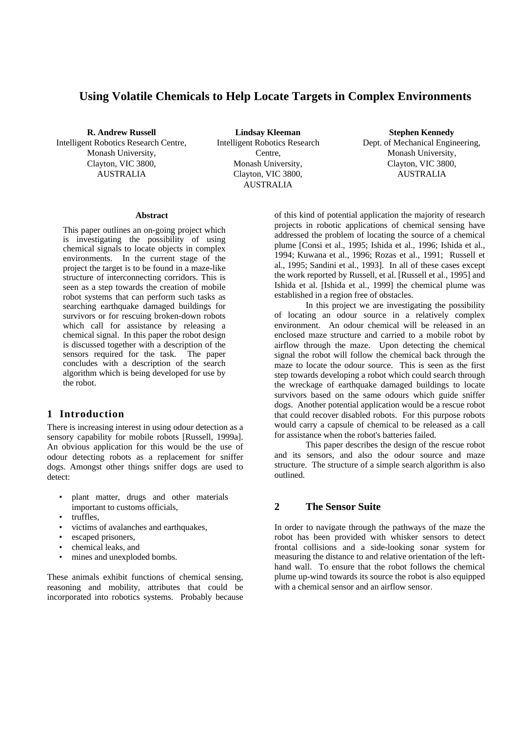# **Using Volatile Chemicals to Help Locate Targets in Complex Environments**

**R. Andrew Russell**

Intelligent Robotics Research Centre, Monash University, Clayton, VIC 3800, AUSTRALIA

**Lindsay Kleeman** Intelligent Robotics Research Centre, Monash University, Clayton, VIC 3800, AUSTRALIA

**Stephen Kennedy** Dept. of Mechanical Engineering, Monash University, Clayton, VIC 3800, AUSTRALIA

#### **Abstract**

This paper outlines an on-going project which is investigating the possibility of using chemical signals to locate objects in complex environments. In the current stage of the project the target is to be found in a maze-like structure of interconnecting corridors. This is seen as a step towards the creation of mobile robot systems that can perform such tasks as searching earthquake damaged buildings for survivors or for rescuing broken-down robots which call for assistance by releasing a chemical signal. In this paper the robot design is discussed together with a description of the sensors required for the task. The paper concludes with a description of the search algorithm which is being developed for use by the robot.

# **1 Introduction**

There is increasing interest in using odour detection as a sensory capability for mobile robots [Russell, 1999a]. An obvious application for this would be the use of odour detecting robots as a replacement for sniffer dogs. Amongst other things sniffer dogs are used to detect:

- plant matter, drugs and other materials important to customs officials,
- truffles,
- victims of avalanches and earthquakes,
- escaped prisoners,
- chemical leaks, and
- mines and unexploded bombs.

These animals exhibit functions of chemical sensing, reasoning and mobility, attributes that could be incorporated into robotics systems. Probably because of this kind of potential application the majority of research projects in robotic applications of chemical sensing have addressed the problem of locating the source of a chemical plume [Consi et al., 1995; Ishida et al., 1996; Ishida et al., 1994; Kuwana et al., 1996; Rozas et al., 1991; Russell et al., 1995; Sandini et al., 1993]. In all of these cases except the work reported by Russell, et al. [Russell et al., 1995] and Ishida et al. [Ishida et al., 1999] the chemical plume was established in a region free of obstacles.

In this project we are investigating the possibility of locating an odour source in a relatively complex environment. An odour chemical will be released in an enclosed maze structure and carried to a mobile robot by airflow through the maze. Upon detecting the chemical signal the robot will follow the chemical back through the maze to locate the odour source. This is seen as the first step towards developing a robot which could search through the wreckage of earthquake damaged buildings to locate survivors based on the same odours which guide sniffer dogs. Another potential application would be a rescue robot that could recover disabled robots. For this purpose robots would carry a capsule of chemical to be released as a call for assistance when the robot's batteries failed.

This paper describes the design of the rescue robot and its sensors, and also the odour source and maze structure. The structure of a simple search algorithm is also outlined.

# **2 The Sensor Suite**

In order to navigate through the pathways of the maze the robot has been provided with whisker sensors to detect frontal collisions and a side-looking sonar system for measuring the distance to and relative orientation of the lefthand wall. To ensure that the robot follows the chemical plume up-wind towards its source the robot is also equipped with a chemical sensor and an airflow sensor.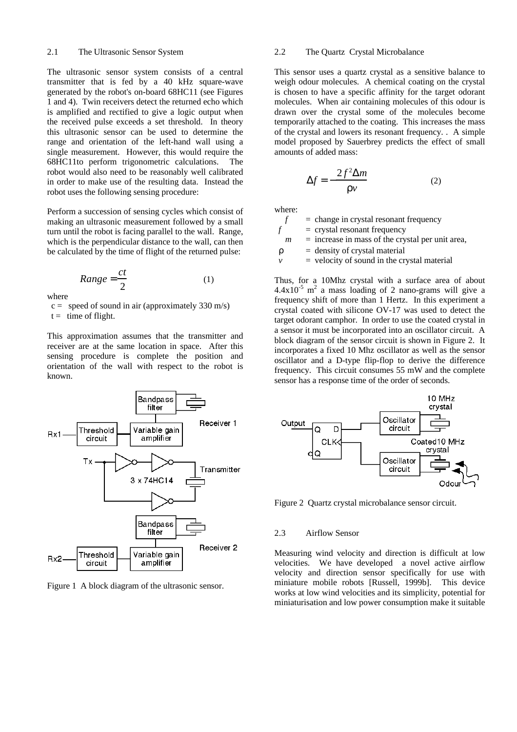#### 2.1 The Ultrasonic Sensor System

The ultrasonic sensor system consists of a central transmitter that is fed by a 40 kHz square-wave generated by the robot's on-board 68HC11 (see Figures 1 and 4). Twin receivers detect the returned echo which is amplified and rectified to give a logic output when the received pulse exceeds a set threshold. In theory this ultrasonic sensor can be used to determine the range and orientation of the left-hand wall using a single measurement. However, this would require the 68HC11to perform trigonometric calculations. The robot would also need to be reasonably well calibrated in order to make use of the resulting data. Instead the robot uses the following sensing procedure:

Perform a succession of sensing cycles which consist of making an ultrasonic measurement followed by a small turn until the robot is facing parallel to the wall. Range, which is the perpendicular distance to the wall, can then be calculated by the time of flight of the returned pulse:

$$
Range = \frac{ct}{2} \tag{1}
$$

where

 $c =$  speed of sound in air (approximately 330 m/s)

 $t =$  time of flight.

This approximation assumes that the transmitter and receiver are at the same location in space. After this sensing procedure is complete the position and orientation of the wall with respect to the robot is known.



Figure 1 A block diagram of the ultrasonic sensor.

#### 2.2 The Quartz Crystal Microbalance

This sensor uses a quartz crystal as a sensitive balance to weigh odour molecules. A chemical coating on the crystal is chosen to have a specific affinity for the target odorant molecules. When air containing molecules of this odour is drawn over the crystal some of the molecules become temporarily attached to the coating. This increases the mass of the crystal and lowers its resonant frequency. . A simple model proposed by Sauerbrey predicts the effect of small amounts of added mass:

$$
\Delta f = -\frac{2f^2 \Delta m}{r \nu} \tag{2}
$$

where:

|   | $=$ change in crystal resonant frequency           |
|---|----------------------------------------------------|
|   | $=$ crystal resonant frequency                     |
| m | $=$ increase in mass of the crystal per unit area, |
| r | $=$ density of crystal material                    |
| ν | $=$ velocity of sound in the crystal material      |
|   |                                                    |

Thus, for a 10Mhz crystal with a surface area of about  $4.4 \times 10^{-5}$  m<sup>2</sup> a mass loading of 2 nano-grams will give a frequency shift of more than 1 Hertz. In this experiment a crystal coated with silicone OV-17 was used to detect the target odorant camphor. In order to use the coated crystal in a sensor it must be incorporated into an oscillator circuit. A block diagram of the sensor circuit is shown in Figure 2. It incorporates a fixed 10 Mhz oscillator as well as the sensor oscillator and a D-type flip-flop to derive the difference frequency. This circuit consumes 55 mW and the complete sensor has a response time of the order of seconds.



Figure 2 Quartz crystal microbalance sensor circuit.

#### 2.3 Airflow Sensor

Measuring wind velocity and direction is difficult at low velocities. We have developed a novel active airflow velocity and direction sensor specifically for use with miniature mobile robots [Russell, 1999b]. This device works at low wind velocities and its simplicity, potential for miniaturisation and low power consumption make it suitable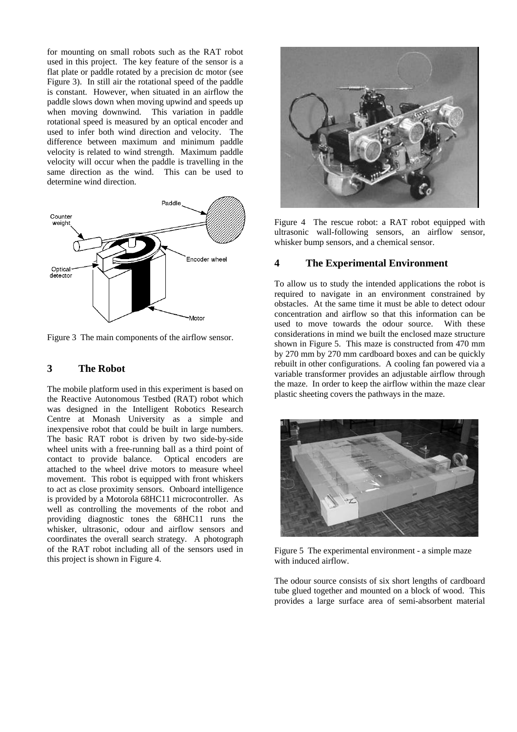for mounting on small robots such as the RAT robot used in this project. The key feature of the sensor is a flat plate or paddle rotated by a precision dc motor (see Figure 3). In still air the rotational speed of the paddle is constant. However, when situated in an airflow the paddle slows down when moving upwind and speeds up when moving downwind. This variation in paddle rotational speed is measured by an optical encoder and used to infer both wind direction and velocity. The difference between maximum and minimum paddle velocity is related to wind strength. Maximum paddle velocity will occur when the paddle is travelling in the same direction as the wind. This can be used to determine wind direction.



Figure 3 The main components of the airflow sensor.

### **3 The Robot**

The mobile platform used in this experiment is based on the Reactive Autonomous Testbed (RAT) robot which was designed in the Intelligent Robotics Research Centre at Monash University as a simple and inexpensive robot that could be built in large numbers. The basic RAT robot is driven by two side-by-side wheel units with a free-running ball as a third point of contact to provide balance. Optical encoders are attached to the wheel drive motors to measure wheel movement. This robot is equipped with front whiskers to act as close proximity sensors. Onboard intelligence is provided by a Motorola 68HC11 microcontroller. As well as controlling the movements of the robot and providing diagnostic tones the 68HC11 runs the whisker, ultrasonic, odour and airflow sensors and coordinates the overall search strategy. A photograph of the RAT robot including all of the sensors used in this project is shown in Figure 4.



Figure 4 The rescue robot: a RAT robot equipped with ultrasonic wall-following sensors, an airflow sensor, whisker bump sensors, and a chemical sensor.

# **4 The Experimental Environment**

To allow us to study the intended applications the robot is required to navigate in an environment constrained by obstacles. At the same time it must be able to detect odour concentration and airflow so that this information can be used to move towards the odour source. With these considerations in mind we built the enclosed maze structure shown in Figure 5. This maze is constructed from 470 mm by 270 mm by 270 mm cardboard boxes and can be quickly rebuilt in other configurations. A cooling fan powered via a variable transformer provides an adjustable airflow through the maze. In order to keep the airflow within the maze clear plastic sheeting covers the pathways in the maze.



Figure 5 The experimental environment - a simple maze with induced airflow.

The odour source consists of six short lengths of cardboard tube glued together and mounted on a block of wood. This provides a large surface area of semi-absorbent material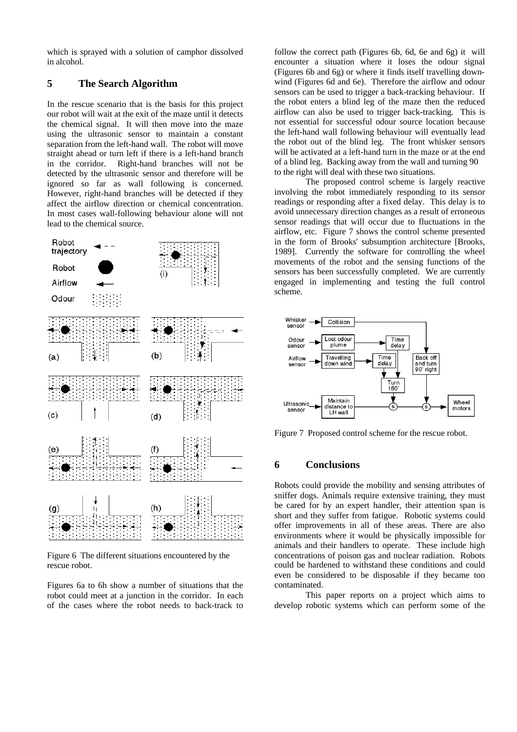which is sprayed with a solution of camphor dissolved in alcohol.

# **5 The Search Algorithm**

In the rescue scenario that is the basis for this project our robot will wait at the exit of the maze until it detects the chemical signal. It will then move into the maze using the ultrasonic sensor to maintain a constant separation from the left-hand wall. The robot will move straight ahead or turn left if there is a left-hand branch in the corridor. Right-hand branches will not be detected by the ultrasonic sensor and therefore will be ignored so far as wall following is concerned. However, right-hand branches will be detected if they affect the airflow direction or chemical concentration. In most cases wall-following behaviour alone will not lead to the chemical source.



Figure 6 The different situations encountered by the rescue robot.

Figures 6a to 6h show a number of situations that the robot could meet at a junction in the corridor. In each of the cases where the robot needs to back-track to

follow the correct path (Figures 6b, 6d, 6e and 6g) it will encounter a situation where it loses the odour signal (Figures 6b and 6g) or where it finds itself travelling downwind (Figures 6d and 6e). Therefore the airflow and odour sensors can be used to trigger a back-tracking behaviour. If the robot enters a blind leg of the maze then the reduced airflow can also be used to trigger back-tracking. This is not essential for successful odour source location because the left-hand wall following behaviour will eventually lead the robot out of the blind leg. The front whisker sensors will be activated at a left-hand turn in the maze or at the end of a blind leg. Backing away from the wall and turning 90 to the right will deal with these two situations.

The proposed control scheme is largely reactive involving the robot immediately responding to its sensor readings or responding after a fixed delay. This delay is to avoid unnecessary direction changes as a result of erroneous sensor readings that will occur due to fluctuations in the airflow, etc. Figure 7 shows the control scheme presented in the form of Brooks' subsumption architecture [Brooks, 1989]. Currently the software for controlling the wheel movements of the robot and the sensing functions of the sensors has been successfully completed. We are currently engaged in implementing and testing the full control scheme.



Figure 7 Proposed control scheme for the rescue robot.

# **6 Conclusions**

Robots could provide the mobility and sensing attributes of sniffer dogs. Animals require extensive training, they must be cared for by an expert handler, their attention span is short and they suffer from fatigue. Robotic systems could offer improvements in all of these areas. There are also environments where it would be physically impossible for animals and their handlers to operate. These include high concentrations of poison gas and nuclear radiation. Robots could be hardened to withstand these conditions and could even be considered to be disposable if they became too contaminated.

This paper reports on a project which aims to develop robotic systems which can perform some of the